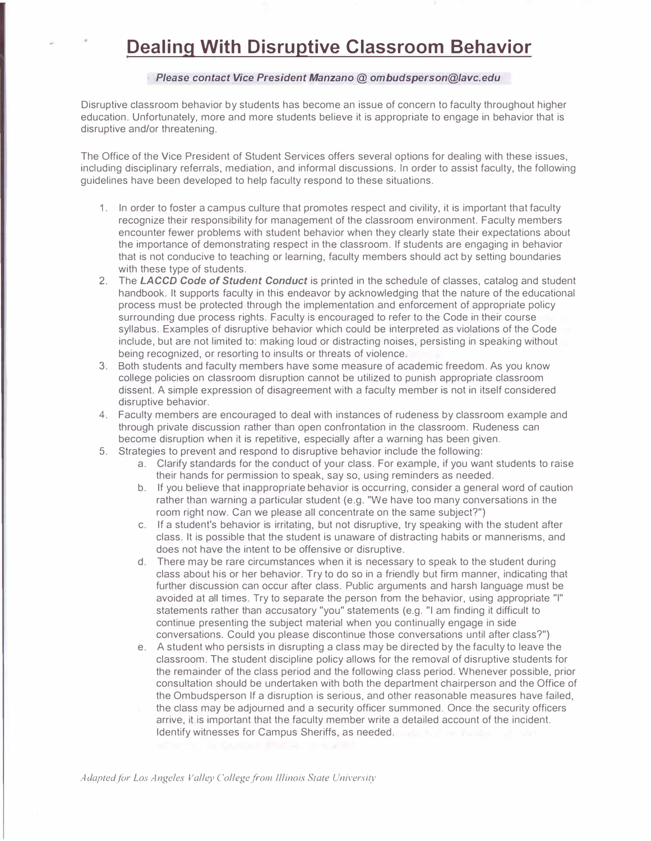## **Dealing With Disruptive Classroom Behavior**

## *Please contact Vice President Manzano @ ombudsperson@lavc.edu*

Disruptive classroom behavior by students has become an issue of concern to faculty throughout higher education. Unfortunately, more and more students believe it is appropriate to engage in behavior that is disruptive and/or threatening.

The Office of the Vice President of Student Services offers several options for dealing with these issues, including disciplinary referrals, mediation, and informal discussions. In order to assist faculty, the following guidelines have been developed to help faculty respond to these situations.

- 1. In order to foster a campus culture that promotes respect and civility, it is important that faculty recognize their responsibility for management of the classroom environment. Faculty members encounter fewer problems with student behavior when they clearly state their expectations about the importance of demonstrating respect in the classroom. If students are engaging in behavior that is not conducive to teaching or learning, faculty members should act by setting boundaries with these type of students.
- 2. The *LACCD Code of Student Conduct* is printed in the schedule of classes, catalog and student handbook. It supports faculty in this endeavor by acknowledging that the nature of the educational process must be protected through the implementation and enforcement of appropriate policy surrounding due process rights. Faculty is encouraged to refer to the Code in their course syllabus. Examples of disruptive behavior which could be interpreted as violations of the Code include, but are not limited to: making loud or distracting noises, persisting in speaking without being recognized, or resorting to insults or threats of violence.
- 3. Both students and faculty members have some measure of academic freedom. As you know college policies on classroom disruption cannot be utilized to punish appropriate classroom dissent. A simple expression of disagreement with a faculty member is not in itself considered disruptive behavior.
- 4. Faculty members are encouraged to deal with instances of rudeness by classroom example and through private discussion rather than open confrontation in the classroom. Rudeness can become disruption when it is repetitive, especially after a warning has been given.
- 5. Strategies to prevent and respond to disruptive behavior include the following:
	- a. Clarify standards for the conduct of your class. For example, if you want students to raise their hands for permission to speak, say so, using reminders as needed.
	- b. If you believe that inappropriate behavior is occurring, consider a general word of caution rather than warning a particular student (e.g. "We have too many conversations in the room right now. Can we please all concentrate on the same subject?")
	- c. If a student's behavior is irritating, but not disruptive, try speaking with the student after class. It is possible that the student is unaware of distracting habits or mannerisms, and does not have the intent to be offensive or disruptive.
	- d. There may be rare circumstances when it is necessary to speak to the student during class about his or her behavior. Try to do so in a friendly but firm manner, indicating that further discussion can occur after class. Public arguments and harsh language must be avoided at all times. Try to separate the person from the behavior, using appropriate "I" statements rather than accusatory "you" statements (e.g. "I am finding it difficult to continue presenting the subject material when you continually engage in side conversations. Could you please discontinue those conversations until after class?")
	- e. A student who persists in disrupting a class may be directed by the faculty to leave the classroom. The student discipline policy allows for the removal of disruptive students for the remainder of the class period and the following class period. Whenever possible, prior consultation should be undertaken with both the department chairperson and the Office of the Ombudsperson If a disruption is serious, and other reasonable measures have failed, the class may be adjourned and a security officer summoned. Once the security officers arrive, it is important that the faculty member write a detailed account of the incident. Identify witnesses for Campus Sheriffs, as needed.